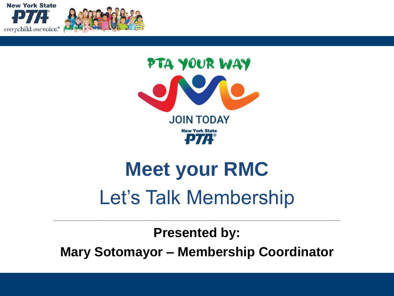





# **Meet your RMC** Let's Talk Membership

**Presented by: Mary Sotomayor – Membership Coordinator**

 $\_$  , and the contribution of the contribution of  $\mathcal{L}_\mathcal{A}$  , and the contribution of  $\mathcal{L}_\mathcal{A}$  , and the contribution of  $\mathcal{L}_\mathcal{A}$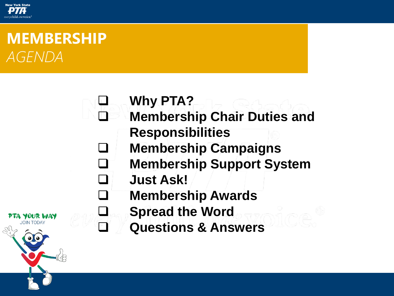

PTA YOUR WAY **JOIN TODAY** 

### **MEMBERSHIP** *AGENDA*



- ❑ **Membership Chair Duties and Responsibilities**
- ❑ **Membership Campaigns**
- ❑ **Membership Support System**
- ❑ **Just Ask!**
- ❑ **Membership Awards**
- ❑ **Spread the Word**
- ❑ **Questions & Answers**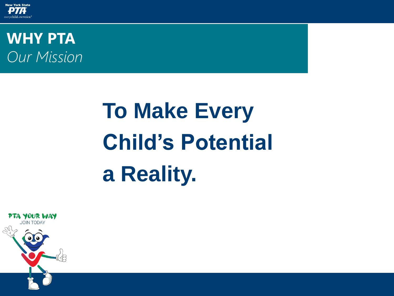

**WHY PTA** *Our Mission*

# **To Make Every Child's Potential a Reality.**

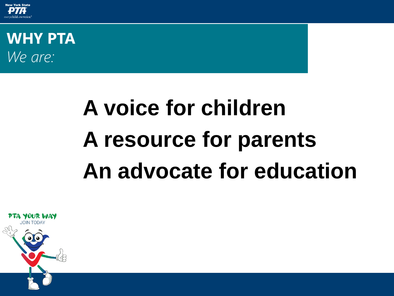

**WHY PTA** *We are:*

# **A voice for children A resource for parents An advocate for education**

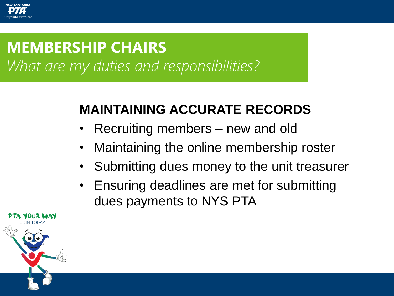

### What are my duties and responsibilities? **MEMBERSHIP CHAIRS**

### **MAINTAINING ACCURATE RECORDS**

- Recruiting members new and old
- Maintaining the online membership roster
- Submitting dues money to the unit treasurer
- Ensuring deadlines are met for submitting dues payments to NYS PTA

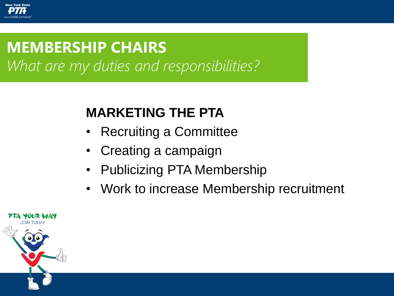

## **MEMBERSHIP CHAIRS**

What are my duties and responsibilities?

### **MARKETING THE PTA**

- Recruiting a Committee
- Creating a campaign
- Publicizing PTA Membership
- Work to increase Membership recruitment

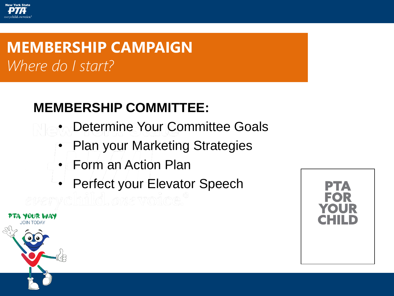### **MEMBERSHIP COMMITTEE:**

- Determine Your Committee Goals
- Plan your Marketing Strategies
- Form an Action Plan
- Perfect your Elevator Speech





**New York State**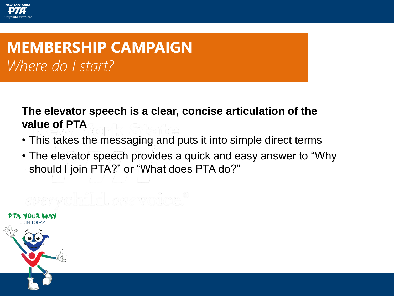

#### **The elevator speech is a clear, concise articulation of the value of PTA**

- This takes the messaging and puts it into simple direct terms
- The elevator speech provides a quick and easy answer to "Why should I join PTA?" or "What does PTA do?"

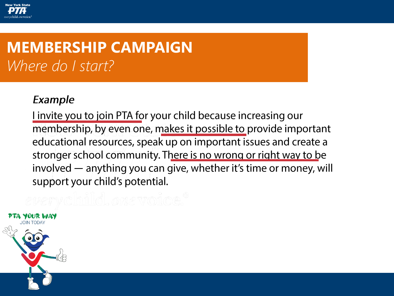Example

Linvite you to join PTA for your child because increasing our membership, by even one, makes it possible to provide important educational resources, speak up on important issues and create a stronger school community. There is no wrong or right way to be involved — anything you can give, whether it's time or money, will support your child's potential.

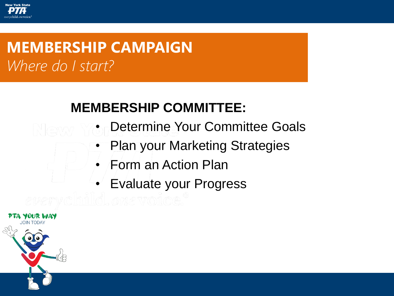**New York State** 

### **MEMBERSHIP COMMITTEE:**

- Determine Your Committee Goals
- Plan your Marketing Strategies
- Form an Action Plan
- Evaluate your Progress

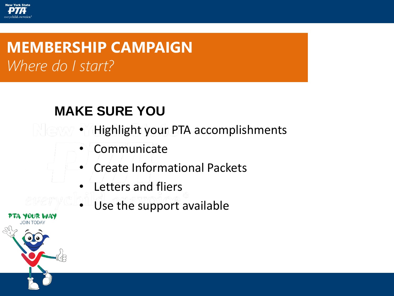### **MAKE SURE YOU**

- Highlight your PTA accomplishments
- **Communicate**
- Create Informational Packets
- Letters and fliers
- Use the support available



**New York State**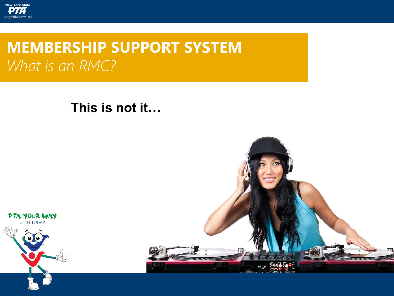

### **MEMBERSHIP SUPPORT SYSTEM** *What is an RMC?*

#### **This is not it…**



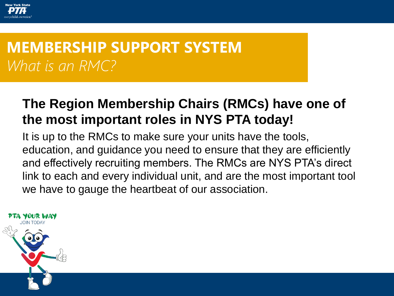

### **MEMBERSHIP SUPPORT SYSTEM** *What is an RMC?*

### **The Region Membership Chairs (RMCs) have one of the most important roles in NYS PTA today!**

It is up to the RMCs to make sure your units have the tools, education, and guidance you need to ensure that they are efficiently and effectively recruiting members. The RMCs are NYS PTA's direct link to each and every individual unit, and are the most important tool we have to gauge the heartbeat of our association.

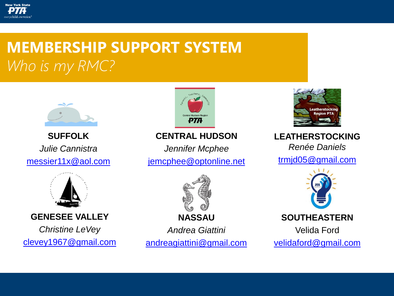

### **MEMBERSHIP SUPPORT SYSTEM** *Who is my RMC?*



**SUFFOLK**  *Julie Cannistra*  [messier11x@aol.com](mailto:messier11x@aol.com)



#### **GENESEE VALLEY**

*Christine LeVey* [clevey1967@gmail.com](mailto:clevey1967@gmail.com)



#### **CENTRAL HUDSON**

*Jennifer Mcphee*  [jemcphee@optonline.net](mailto:jemcphee@optonline.net)



**NASSAU**

*Andrea Giattini* [andreagiattini@gmail.com](mailto:andreagiattini@gmail.com)



**LEATHERSTOCKING**  *Renée Daniels* 

[trmjd05@gmail.com](mailto:trmjd05@gmail.com)



**SOUTHEASTERN**

Velida Ford [velidaford@gmail.com](mailto:velidaford@gmail.com)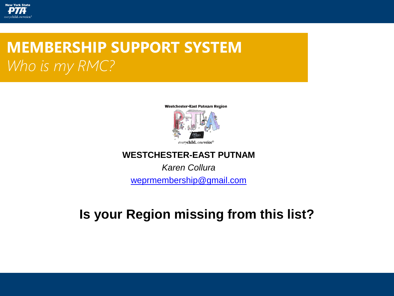

### **MEMBERSHIP SUPPORT SYSTEM** *Who is my RMC?*



#### **WESTCHESTER-EAST PUTNAM**

*Karen Collura*

[weprmembership@gmail.com](mailto:weprmembership@gmail.com)

### **Is your Region missing from this list?**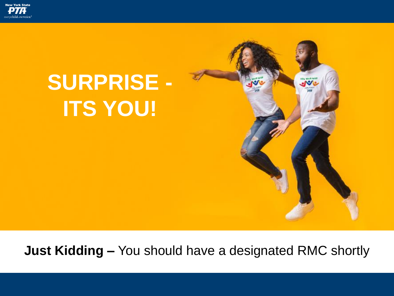

# **SURPRISE - ITS YOU!**



 $\sim$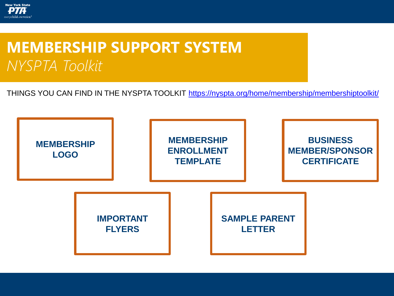

### **MEMBERSHIP SUPPORT SYSTEM** *NYSPTA Toolkit*

THINGS YOU CAN FIND IN THE NYSPTA TOOLKIT <https://nyspta.org/home/membership/membershiptoolkit/>

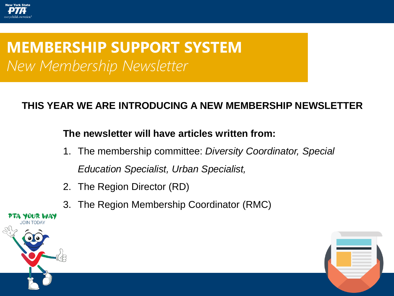

### **MEMBERSHIP SUPPORT SYSTEM** *New Membership Newsletter*

#### **THIS YEAR WE ARE INTRODUCING A NEW MEMBERSHIP NEWSLETTER**

#### **The newsletter will have articles written from:**

- 1. The membership committee: *Diversity Coordinator, Special Education Specialist, Urban Specialist,*
- 2. The Region Director (RD)
- 3. The Region Membership Coordinator (RMC)



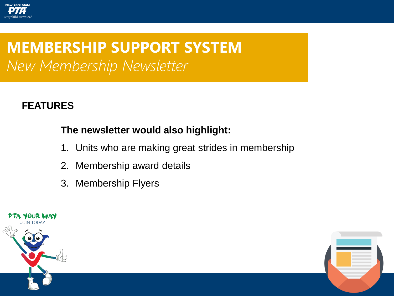

### **MEMBERSHIP SUPPORT SYSTEM** *New Membership Newsletter*

#### **FEATURES**

#### **The newsletter would also highlight:**

- 1. Units who are making great strides in membership
- 2. Membership award details
- 3. Membership Flyers



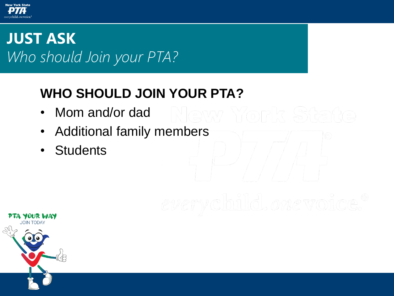

### **JUST ASK** *Who should Join your PTA?*

### **WHO SHOULD JOIN YOUR PTA?**

- Mom and/or dad
- Additional family members
- Students

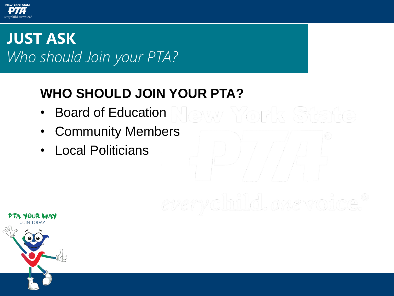

### **JUST ASK** *Who should Join your PTA?*

### **WHO SHOULD JOIN YOUR PTA?**

- Board of Education
- Community Members
- Local Politicians

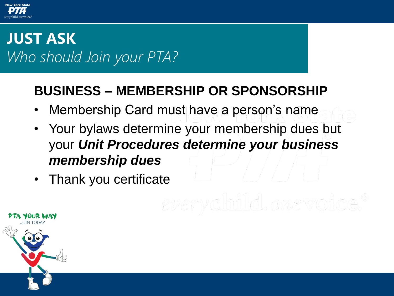

### **JUST ASK** *Who should Join your PTA?*

### **BUSINESS – MEMBERSHIP OR SPONSORSHIP**

- Membership Card must have a person's name
- Your bylaws determine your membership dues but your *Unit Procedures determine your business membership dues*
- Thank you certificate

UR WAY

**JOIN TODAY**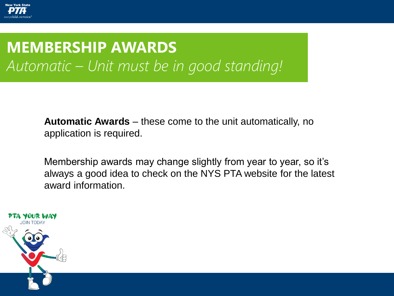

### **WHY PTA?** *Automatic – Unit must be in good standing!***MEMBERSHIP AWARDS**

**Automatic Awards** – these come to the unit automatically, no application is required.

Membership awards may change slightly from year to year, so it's always a good idea to check on the NYS PTA website for the latest award information.

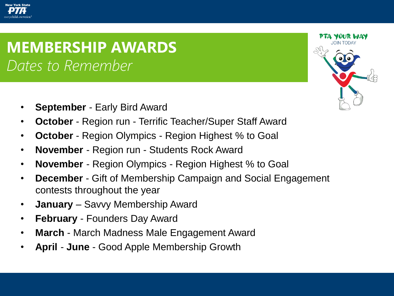### **MEMBERSHIP AWARDS** *Membership Contest Dates Dates to Remember*

- **September** Early Bird Award
- **October**  Region run Terrific Teacher/Super Staff Award
- **October** Region Olympics Region Highest % to Goal
- **November** Region run Students Rock Award
- **November** Region Olympics Region Highest % to Goal
- **December** Gift of Membership Campaign and Social Engagement contests throughout the year
- **January** Savvy Membership Award
- **February** Founders Day Award
- **March** March Madness Male Engagement Award
- **April June** Good Apple Membership Growth



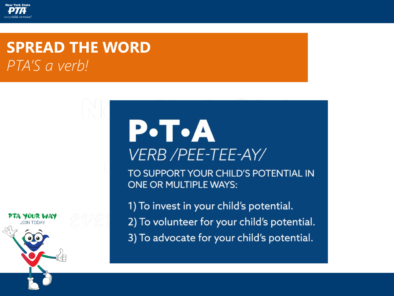

### **SPREAD THE WORD** *PTA'S a verb!*

# $P\cdot T\cdot A$ **VERB /PEE-TEE-AY/**

TO SUPPORT YOUR CHILD'S POTENTIAL IN **ONE OR MULTIPLE WAYS:** 

1) To invest in your child's potential. 2) To volunteer for your child's potential. 3) To advocate for your child's potential.

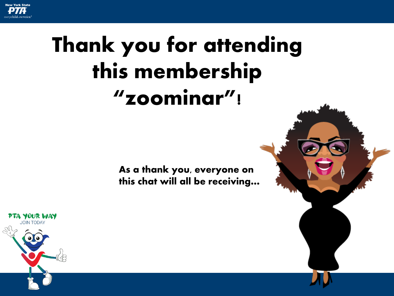

# Thank you for attending this membership "zoominar"!

As a thank you, everyone on this chat will all be receiving…